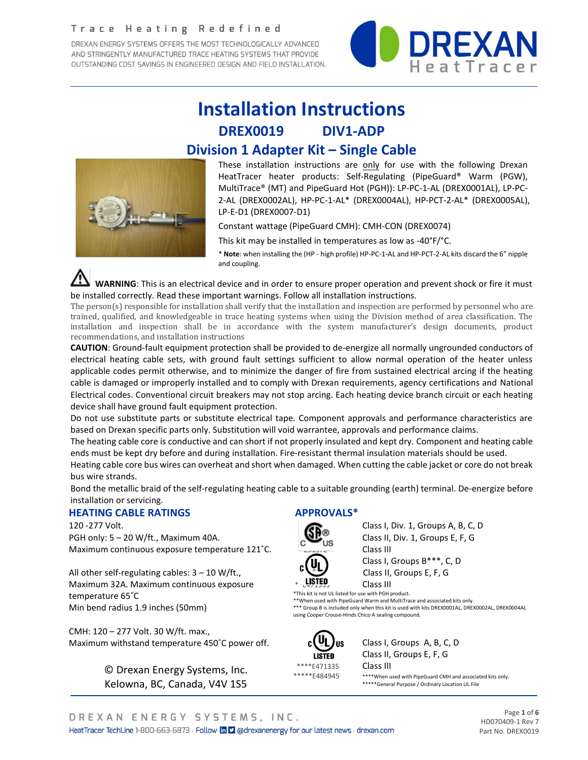#### Trace Heating Redefined

DREXAN ENERGY SYSTEMS OFFERS THE MOST TECHNOLOGICALLY ADVANCED AND STRINGENTLY MANUFACTURED TRACE HEATING SYSTEMS THAT PROVIDE OUTSTANDING COST SAVINGS IN ENGINEERED DESIGN AND FIELD INSTALLATION.



# **Installation Instructions DREX0019 DIV1-ADP Division 1 Adapter Kit – Single Cable**

These installation instructions are only for use with the following Drexan HeatTracer heater products: Self-Regulating (PipeGuard® Warm (PGW), MultiTrace® (MT) and PipeGuard Hot (PGH)): LP-PC-1-AL (DREX0001AL), LP-PC-2-AL (DREX0002AL), HP-PC-1-AL\* (DREX0004AL), HP-PCT-2-AL\* (DREX0005AL), LP-E-D1 (DREX0007-D1)

Constant wattage (PipeGuard CMH): CMH-CON (DREX0074)

This kit may be installed in temperatures as low as -40°F/°C.

\* **Note**: when installing the (HP - high profile) HP-PC-1-AL and HP-PCT-2-AL kits discard the 6" nipple and coupling.

 **WARNING**: This is an electrical device and in order to ensure proper operation and prevent shock or fire it must be installed correctly. Read these important warnings. Follow all installation instructions.

The person(s) responsible for installation shall verify that the installation and inspection are performed by personnel who are trained, qualified, and knowledgeable in trace heating systems when using the Division method of area classification. The installation and inspection shall be in accordance with the system manufacturer's design documents, product recommendations, and installation instructions

**CAUTION**: Ground-fault equipment protection shall be provided to de-energize all normally ungrounded conductors of electrical heating cable sets, with ground fault settings sufficient to allow normal operation of the heater unless applicable codes permit otherwise, and to minimize the danger of fire from sustained electrical arcing if the heating cable is damaged or improperly installed and to comply with Drexan requirements, agency certifications and National Electrical codes. Conventional circuit breakers may not stop arcing. Each heating device branch circuit or each heating device shall have ground fault equipment protection.

Do not use substitute parts or substitute electrical tape. Component approvals and performance characteristics are based on Drexan specific parts only. Substitution will void warrantee, approvals and performance claims.

The heating cable core is conductive and can short if not properly insulated and kept dry. Component and heating cable ends must be kept dry before and during installation. Fire-resistant thermal insulation materials should be used.

Heating cable core bus wires can overheat and short when damaged. When cutting the cable jacket or core do not break bus wire strands.

Bond the metallic braid of the self-regulating heating cable to a suitable grounding (earth) terminal. De-energize before installation or servicing.

#### **HEATING CABLE RATINGS**

120 -277 Volt. PGH only: 5 – 20 W/ft., Maximum 40A. Maximum continuous exposure temperature 121˚C.

All other self-regulating cables:  $3 - 10$  W/ft., Maximum 32A. Maximum continuous exposure temperature 65˚C Min bend radius 1.9 inches (50mm)

CMH: 120 – 277 Volt. 30 W/ft. max., Maximum withstand temperature 450˚C power off.

# © Drexan Energy Systems, Inc. Kelowna, BC, Canada, V4V 1S5

## **APPROVALS\***



Class I, Div. 1, Groups A, B, C, D Class II, Div. 1, Groups E, F, G Class III Class I, Groups B\*\*\*, C, D

Class II, Groups E, F, G  $\overline{L}$ **ESTED** Class III

\*This kit is not UL listed for use with PGH product.

\*\*When used with PipeGuard Warm and MultiTrace and associated kits only. \*\*\* Group B is included only when this kit is used with kits DREX0001AL, DREX0002AL, DREX0004AL using Cooper Crouse-Hinds Chico A sealing compound.



Class I, Groups A, B, C, D Class II, Groups E, F, G

\*\*\*\*E471335 Class III

\*\*\*\*\*E484945 \*\*\*\*When used with PipeGuard CMH and associated kits only. \*\*\*\*\*General Purpose / Ordinary Location UL File

Page **1** of **6** HD070409-1 Rev 7 Part No. DREX0019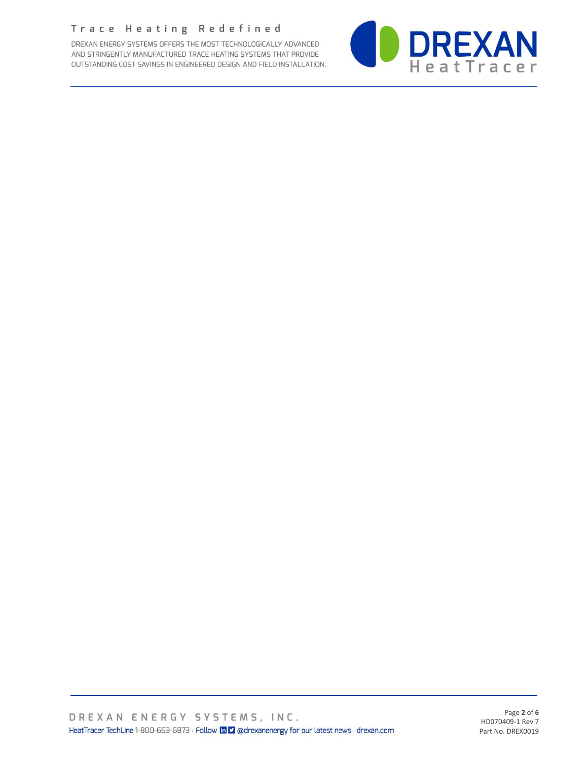# Trace Heating Redefined

DREXAN ENERGY SYSTEMS OFFERS THE MOST TECHNOLOGICALLY ADVANCED AND STRINGENTLY MANUFACTURED TRACE HEATING SYSTEMS THAT PROVIDE OUTSTANDING COST SAVINGS IN ENGINEERED DESIGN AND FIELD INSTALLATION.

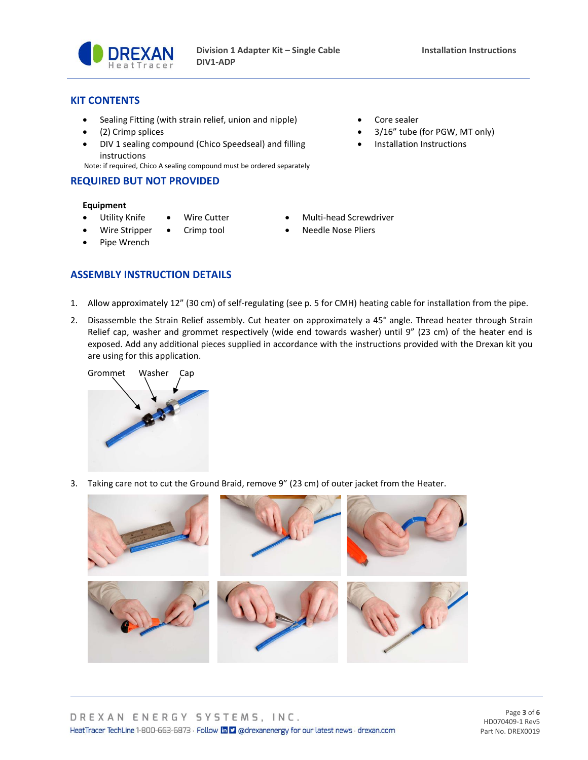

• Installation Instructions

### **KIT CONTENTS**

- Sealing Fitting (with strain relief, union and nipple) Core sealer
- (2) Crimp splices 3/16" tube (for PGW, MT only)
- DIV 1 sealing compound (Chico Speedseal) and filling instructions

Note: if required, Chico A sealing compound must be ordered separately

#### **REQUIRED BUT NOT PROVIDED**

#### **Equipment**

- 
- Wire Stripper Crimp tool Needle Nose Pliers
	-
- Utility Knife Wire Cutter Multi-head Screwdriver
	-

• Pipe Wrench

# **ASSEMBLY INSTRUCTION DETAILS**

- 1. Allow approximately 12" (30 cm) of self-regulating (see p. 5 for CMH) heating cable for installation from the pipe.
- 2. Disassemble the Strain Relief assembly. Cut heater on approximately a 45° angle. Thread heater through Strain Relief cap, washer and grommet respectively (wide end towards washer) until 9" (23 cm) of the heater end is exposed. Add any additional pieces supplied in accordance with the instructions provided with the Drexan kit you are using for this application.



3. Taking care not to cut the Ground Braid, remove 9" (23 cm) of outer jacket from the Heater.

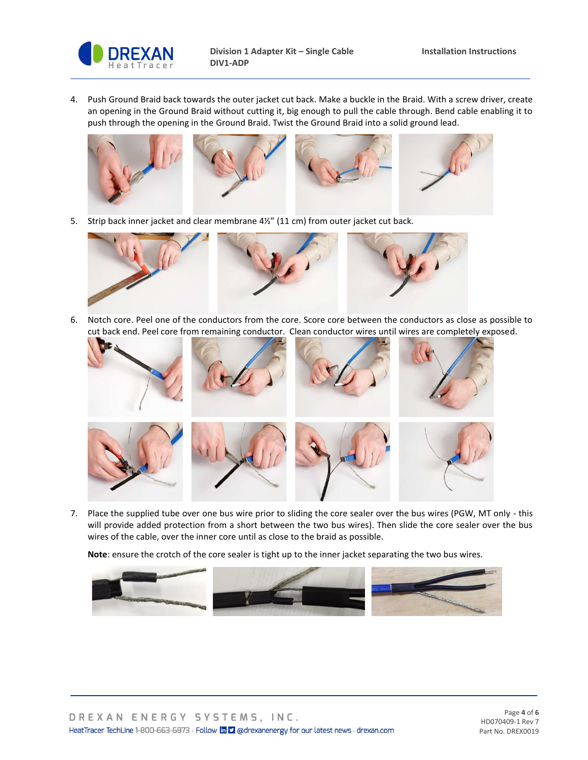

4. Push Ground Braid back towards the outer jacket cut back. Make a buckle in the Braid. With a screw driver, create an opening in the Ground Braid without cutting it, big enough to pull the cable through. Bend cable enabling it to push through the opening in the Ground Braid. Twist the Ground Braid into a solid ground lead.



5. Strip back inner jacket and clear membrane 4½" (11 cm) from outer jacket cut back.



6. Notch core. Peel one of the conductors from the core. Score core between the conductors as close as possible to cut back end. Peel core from remaining conductor. Clean conductor wires until wires are completely exposed.



7. Place the supplied tube over one bus wire prior to sliding the core sealer over the bus wires (PGW, MT only - this will provide added protection from a short between the two bus wires). Then slide the core sealer over the bus wires of the cable, over the inner core until as close to the braid as possible.

**Note**: ensure the crotch of the core sealer is tight up to the inner jacket separating the two bus wires.

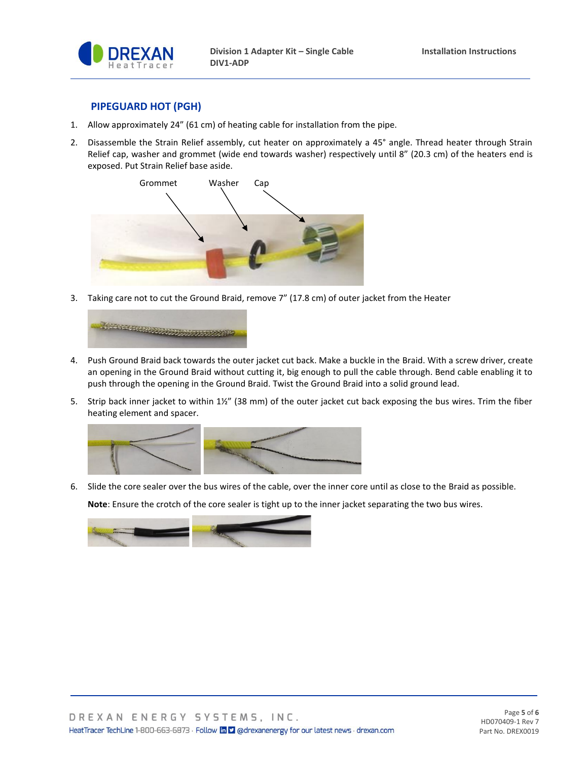

### **PIPEGUARD HOT (PGH)**

- 1. Allow approximately 24" (61 cm) of heating cable for installation from the pipe.
- 2. Disassemble the Strain Relief assembly, cut heater on approximately a 45° angle. Thread heater through Strain Relief cap, washer and grommet (wide end towards washer) respectively until 8" (20.3 cm) of the heaters end is exposed. Put Strain Relief base aside.



3. Taking care not to cut the Ground Braid, remove 7" (17.8 cm) of outer jacket from the Heater



- 4. Push Ground Braid back towards the outer jacket cut back. Make a buckle in the Braid. With a screw driver, create an opening in the Ground Braid without cutting it, big enough to pull the cable through. Bend cable enabling it to push through the opening in the Ground Braid. Twist the Ground Braid into a solid ground lead.
- 5. Strip back inner jacket to within 1½" (38 mm) of the outer jacket cut back exposing the bus wires. Trim the fiber heating element and spacer.



6. Slide the core sealer over the bus wires of the cable, over the inner core until as close to the Braid as possible. **Note**: Ensure the crotch of the core sealer is tight up to the inner jacket separating the two bus wires.